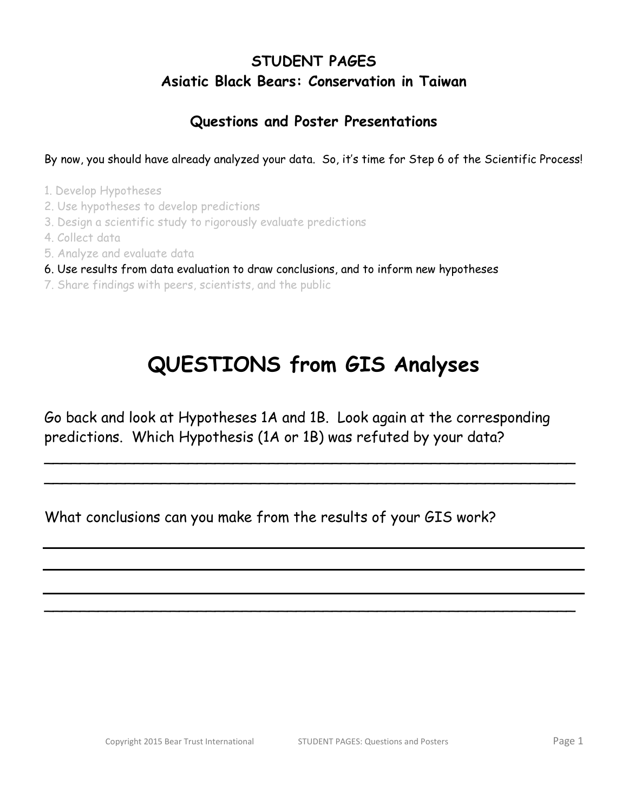## **STUDENT PAGES Asiatic Black Bears: Conservation in Taiwan**

## **Questions and Poster Presentations**

By now, you should have already analyzed your data. So, it's time for Step 6 of the Scientific Process!

- 1. Develop Hypotheses
- 2. Use hypotheses to develop predictions
- 3. Design a scientific study to rigorously evaluate predictions
- 4. Collect data
- 5. Analyze and evaluate data
- 6. Use results from data evaluation to draw conclusions, and to inform new hypotheses
- 7. Share findings with peers, scientists, and the public

## **QUESTIONS from GIS Analyses**

Go back and look at Hypotheses 1A and 1B. Look again at the corresponding predictions. Which Hypothesis (1A or 1B) was refuted by your data?

\_\_\_\_\_\_\_\_\_\_\_\_\_\_\_\_\_\_\_\_\_\_\_\_\_\_\_\_\_\_\_\_\_\_\_\_\_\_\_\_\_\_\_\_\_\_\_\_\_\_\_\_\_\_\_\_\_\_\_ \_\_\_\_\_\_\_\_\_\_\_\_\_\_\_\_\_\_\_\_\_\_\_\_\_\_\_\_\_\_\_\_\_\_\_\_\_\_\_\_\_\_\_\_\_\_\_\_\_\_\_\_\_\_\_\_\_\_\_

\_\_\_\_\_\_\_\_\_\_\_\_\_\_\_\_\_\_\_\_\_\_\_\_\_\_\_\_\_\_\_\_\_\_\_\_\_\_\_\_\_\_\_\_\_\_\_\_\_\_\_\_\_\_\_\_\_\_\_

What conclusions can you make from the results of your GIS work?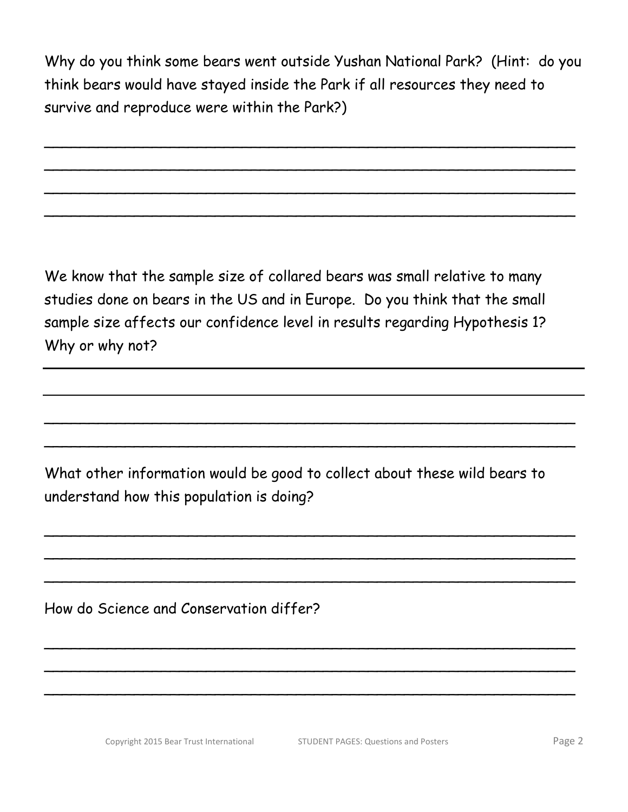Why do you think some bears went outside Yushan National Park? (Hint: do you think bears would have stayed inside the Park if all resources they need to survive and reproduce were within the Park?)

\_\_\_\_\_\_\_\_\_\_\_\_\_\_\_\_\_\_\_\_\_\_\_\_\_\_\_\_\_\_\_\_\_\_\_\_\_\_\_\_\_\_\_\_\_\_\_\_\_\_\_\_\_\_\_\_\_\_\_

\_\_\_\_\_\_\_\_\_\_\_\_\_\_\_\_\_\_\_\_\_\_\_\_\_\_\_\_\_\_\_\_\_\_\_\_\_\_\_\_\_\_\_\_\_\_\_\_\_\_\_\_\_\_\_\_\_\_\_

\_\_\_\_\_\_\_\_\_\_\_\_\_\_\_\_\_\_\_\_\_\_\_\_\_\_\_\_\_\_\_\_\_\_\_\_\_\_\_\_\_\_\_\_\_\_\_\_\_\_\_\_\_\_\_\_\_\_\_

\_\_\_\_\_\_\_\_\_\_\_\_\_\_\_\_\_\_\_\_\_\_\_\_\_\_\_\_\_\_\_\_\_\_\_\_\_\_\_\_\_\_\_\_\_\_\_\_\_\_\_\_\_\_\_\_\_\_\_

We know that the sample size of collared bears was small relative to many studies done on bears in the US and in Europe. Do you think that the small sample size affects our confidence level in results regarding Hypothesis 1? Why or why not?

What other information would be good to collect about these wild bears to understand how this population is doing?

\_\_\_\_\_\_\_\_\_\_\_\_\_\_\_\_\_\_\_\_\_\_\_\_\_\_\_\_\_\_\_\_\_\_\_\_\_\_\_\_\_\_\_\_\_\_\_\_\_\_\_\_\_\_\_\_\_\_\_

\_\_\_\_\_\_\_\_\_\_\_\_\_\_\_\_\_\_\_\_\_\_\_\_\_\_\_\_\_\_\_\_\_\_\_\_\_\_\_\_\_\_\_\_\_\_\_\_\_\_\_\_\_\_\_\_\_\_\_

\_\_\_\_\_\_\_\_\_\_\_\_\_\_\_\_\_\_\_\_\_\_\_\_\_\_\_\_\_\_\_\_\_\_\_\_\_\_\_\_\_\_\_\_\_\_\_\_\_\_\_\_\_\_\_\_\_\_\_

\_\_\_\_\_\_\_\_\_\_\_\_\_\_\_\_\_\_\_\_\_\_\_\_\_\_\_\_\_\_\_\_\_\_\_\_\_\_\_\_\_\_\_\_\_\_\_\_\_\_\_\_\_\_\_\_\_\_\_

\_\_\_\_\_\_\_\_\_\_\_\_\_\_\_\_\_\_\_\_\_\_\_\_\_\_\_\_\_\_\_\_\_\_\_\_\_\_\_\_\_\_\_\_\_\_\_\_\_\_\_\_\_\_\_\_\_\_\_

 $\overline{\phantom{a}}$ 

\_\_\_\_\_\_\_\_\_\_\_\_\_\_\_\_\_\_\_\_\_\_\_\_\_\_\_\_\_\_\_\_\_\_\_\_\_\_\_\_\_\_\_\_\_\_\_\_\_\_\_\_\_\_\_\_\_\_\_

\_\_\_\_\_\_\_\_\_\_\_\_\_\_\_\_\_\_\_\_\_\_\_\_\_\_\_\_\_\_\_\_\_\_\_\_\_\_\_\_\_\_\_\_\_\_\_\_\_\_\_\_\_\_\_\_\_\_\_

How do Science and Conservation differ?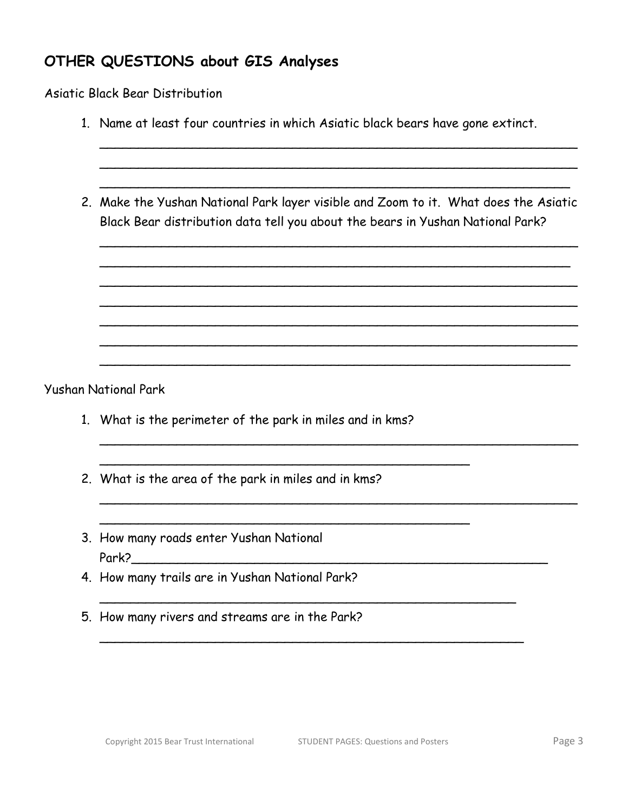## **OTHER QUESTIONS about GIS Analyses**

Asiatic Black Bear Distribution

| 1. Name at least four countries in which Asiatic black bears have gone extinct.                                                                                        |
|------------------------------------------------------------------------------------------------------------------------------------------------------------------------|
|                                                                                                                                                                        |
| 2. Make the Yushan National Park layer visible and Zoom to it. What does the Asiatic<br>Black Bear distribution data tell you about the bears in Yushan National Park? |
|                                                                                                                                                                        |
|                                                                                                                                                                        |
| <b>Yushan National Park</b>                                                                                                                                            |
| 1. What is the perimeter of the park in miles and in kms?                                                                                                              |
| 2. What is the area of the park in miles and in kms?                                                                                                                   |
| 3. How many roads enter Yushan National                                                                                                                                |

- Park?\_\_\_\_\_\_\_\_\_\_\_\_\_\_\_\_\_\_\_\_\_\_\_\_\_\_\_\_\_\_\_\_\_\_\_\_\_\_\_\_\_\_\_\_\_\_\_\_\_\_\_\_\_\_
- 4. How many trails are in Yushan National Park? \_\_\_\_\_\_\_\_\_\_\_\_\_\_\_\_\_\_\_\_\_\_\_\_\_\_\_\_\_\_\_\_\_\_\_\_\_\_\_\_\_\_\_\_\_\_\_\_\_\_\_\_\_\_
- 5. How many rivers and streams are in the Park?

 $\sim$  0.000  $\sim$  0.000  $\sim$  0.000  $\sim$  0.000  $\sim$  0.000  $\sim$  0.000  $\sim$  0.000  $\sim$  0.000  $\sim$  0.000  $\sim$  0.000  $\sim$  0.000  $\sim$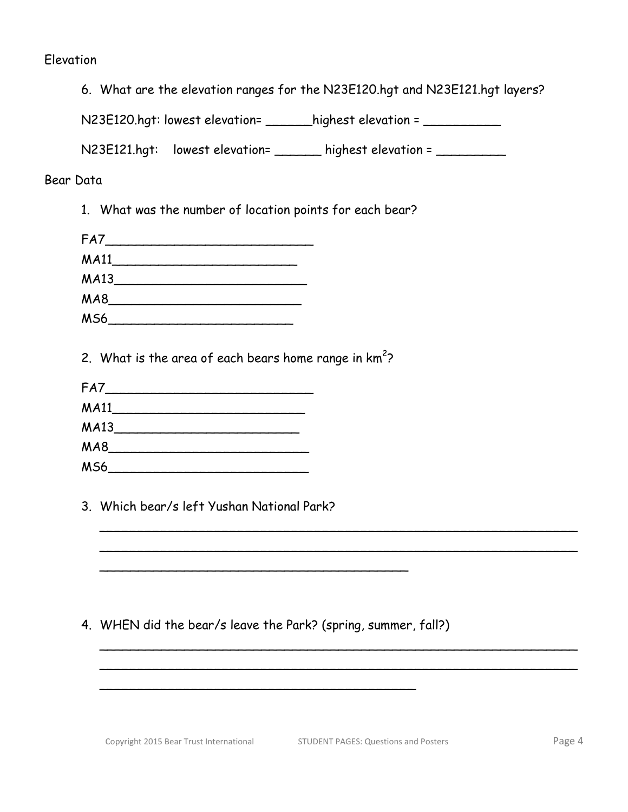#### Elevation

|  |  | 6. What are the elevation ranges for the N23E120.hgt and N23E121.hgt layers? |  |
|--|--|------------------------------------------------------------------------------|--|
|  |  |                                                                              |  |

N23E120.hgt: lowest elevation= \_\_\_\_\_\_highest elevation = \_\_\_\_\_\_\_\_\_\_\_

N23E121.hgt: lowest elevation= \_\_\_\_\_\_ highest elevation = \_\_\_\_\_\_\_\_\_\_

#### Bear Data

1. What was the number of location points for each bear?

| FA7             |  |
|-----------------|--|
| <b>MA11</b>     |  |
| MA13            |  |
| MA8             |  |
| MS <sub>6</sub> |  |

2. What is the area of each bears home range in  $km^2$ ?

| FA7         |  |  |
|-------------|--|--|
| <b>MA11</b> |  |  |
| <b>MA13</b> |  |  |
| MA8         |  |  |
| <b>MS6</b>  |  |  |

3. Which bear/s left Yushan National Park?

#### 4. WHEN did the bear/s leave the Park? (spring, summer, fall?)

\_\_\_\_\_\_\_\_\_\_\_\_\_\_\_\_\_\_\_\_\_\_\_\_\_\_\_\_\_\_\_\_\_\_\_\_\_\_\_\_\_

\_\_\_\_\_\_\_\_\_\_\_\_\_\_\_\_\_\_\_\_\_\_\_\_\_\_\_\_\_\_\_\_\_\_\_\_\_\_\_\_

\_\_\_\_\_\_\_\_\_\_\_\_\_\_\_\_\_\_\_\_\_\_\_\_\_\_\_\_\_\_\_\_\_\_\_\_\_\_\_\_\_\_\_\_\_\_\_\_\_\_\_\_\_\_\_\_\_\_\_\_\_\_  $\sim$  . The contract of the contract of the contract of the contract of the contract of the contract of the contract of

\_\_\_\_\_\_\_\_\_\_\_\_\_\_\_\_\_\_\_\_\_\_\_\_\_\_\_\_\_\_\_\_\_\_\_\_\_\_\_\_\_\_\_\_\_\_\_\_\_\_\_\_\_\_\_\_\_\_\_\_\_\_  $\sim$  . The contract of the contract of the contract of the contract of the contract of the contract of the contract of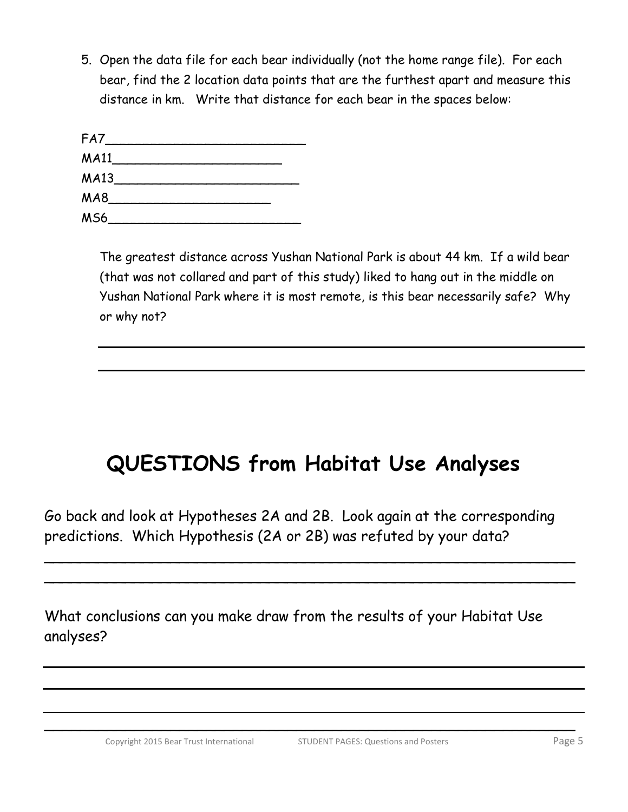5. Open the data file for each bear individually (not the home range file). For each bear, find the 2 location data points that are the furthest apart and measure this distance in km. Write that distance for each bear in the spaces below:

| FA7             |  |  |
|-----------------|--|--|
| <b>MA11</b>     |  |  |
| <b>MA13</b>     |  |  |
| MA <sub>8</sub> |  |  |
| <b>MS6</b>      |  |  |

The greatest distance across Yushan National Park is about 44 km. If a wild bear (that was not collared and part of this study) liked to hang out in the middle on Yushan National Park where it is most remote, is this bear necessarily safe? Why or why not?

# **QUESTIONS from Habitat Use Analyses**

Go back and look at Hypotheses 2A and 2B. Look again at the corresponding predictions. Which Hypothesis (2A or 2B) was refuted by your data?

\_\_\_\_\_\_\_\_\_\_\_\_\_\_\_\_\_\_\_\_\_\_\_\_\_\_\_\_\_\_\_\_\_\_\_\_\_\_\_\_\_\_\_\_\_\_\_\_\_\_\_\_\_\_\_\_\_\_\_ \_\_\_\_\_\_\_\_\_\_\_\_\_\_\_\_\_\_\_\_\_\_\_\_\_\_\_\_\_\_\_\_\_\_\_\_\_\_\_\_\_\_\_\_\_\_\_\_\_\_\_\_\_\_\_\_\_\_\_

\_\_\_\_\_\_\_\_\_\_\_\_\_\_\_\_\_\_\_\_\_\_\_\_\_\_\_\_\_\_\_\_\_\_\_\_\_\_\_\_\_\_\_\_\_\_\_\_\_\_\_\_\_\_\_\_\_\_\_

What conclusions can you make draw from the results of your Habitat Use analyses?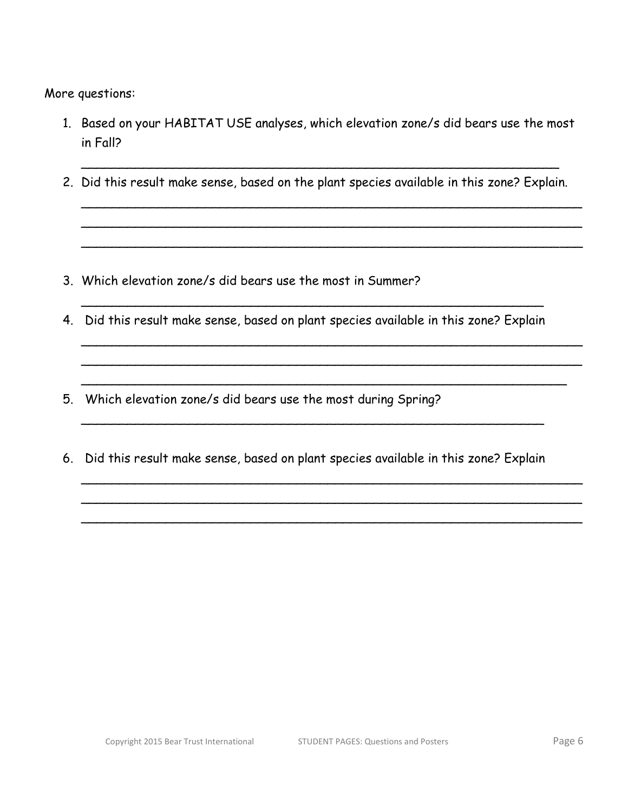More questions:

- 1. Based on your HABITAT USE analyses, which elevation zone/s did bears use the most in Fall?
- $\sim$  . The contract of the contract of the contract of the contract of the contract of the contract of the contract of 2. Did this result make sense, based on the plant species available in this zone? Explain.

\_\_\_\_\_\_\_\_\_\_\_\_\_\_\_\_\_\_\_\_\_\_\_\_\_\_\_\_\_\_\_\_\_\_\_\_\_\_\_\_\_\_\_\_\_\_\_\_\_\_\_\_\_\_\_\_\_\_\_\_\_\_\_\_\_ \_\_\_\_\_\_\_\_\_\_\_\_\_\_\_\_\_\_\_\_\_\_\_\_\_\_\_\_\_\_\_\_\_\_\_\_\_\_\_\_\_\_\_\_\_\_\_\_\_\_\_\_\_\_\_\_\_\_\_\_\_\_\_\_\_ \_\_\_\_\_\_\_\_\_\_\_\_\_\_\_\_\_\_\_\_\_\_\_\_\_\_\_\_\_\_\_\_\_\_\_\_\_\_\_\_\_\_\_\_\_\_\_\_\_\_\_\_\_\_\_\_\_\_\_\_\_\_\_\_\_

- 3. Which elevation zone/s did bears use the most in Summer?
- 4. Did this result make sense, based on plant species available in this zone? Explain

 $\sim$  . The contract of the contract of the contract of the contract of the contract of the contract of the contract of

\_\_\_\_\_\_\_\_\_\_\_\_\_\_\_\_\_\_\_\_\_\_\_\_\_\_\_\_\_\_\_\_\_\_\_\_\_\_\_\_\_\_\_\_\_\_\_\_\_\_\_\_\_\_\_\_\_\_\_\_\_\_\_\_\_ \_\_\_\_\_\_\_\_\_\_\_\_\_\_\_\_\_\_\_\_\_\_\_\_\_\_\_\_\_\_\_\_\_\_\_\_\_\_\_\_\_\_\_\_\_\_\_\_\_\_\_\_\_\_\_\_\_\_\_\_\_\_\_\_\_

\_\_\_\_\_\_\_\_\_\_\_\_\_\_\_\_\_\_\_\_\_\_\_\_\_\_\_\_\_\_\_\_\_\_\_\_\_\_\_\_\_\_\_\_\_\_\_\_\_\_\_\_\_\_\_\_\_\_\_\_\_\_\_\_\_ \_\_\_\_\_\_\_\_\_\_\_\_\_\_\_\_\_\_\_\_\_\_\_\_\_\_\_\_\_\_\_\_\_\_\_\_\_\_\_\_\_\_\_\_\_\_\_\_\_\_\_\_\_\_\_\_\_\_\_\_\_\_\_\_\_ \_\_\_\_\_\_\_\_\_\_\_\_\_\_\_\_\_\_\_\_\_\_\_\_\_\_\_\_\_\_\_\_\_\_\_\_\_\_\_\_\_\_\_\_\_\_\_\_\_\_\_\_\_\_\_\_\_\_\_\_\_\_\_\_\_

\_\_\_\_\_\_\_\_\_\_\_\_\_\_\_\_\_\_\_\_\_\_\_\_\_\_\_\_\_\_\_\_\_\_\_\_\_\_\_\_\_\_\_\_\_\_\_\_\_\_\_\_\_\_\_\_\_\_\_\_\_\_\_

- 5. Which elevation zone/s did bears use the most during Spring?
- 6. Did this result make sense, based on plant species available in this zone? Explain

 $\sim$  . The contract of the contract of the contract of the contract of the contract of the contract of the contract of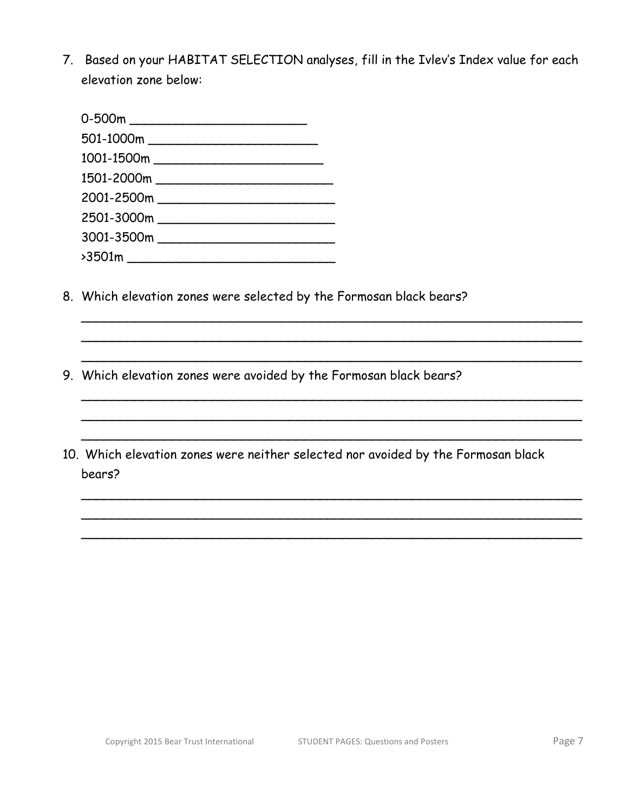7. Based on your HABITAT SELECTION analyses, fill in the Ivlev's Index value for each elevation zone below:

- 8. Which elevation zones were selected by the Formosan black bears?
- 9. Which elevation zones were avoided by the Formosan black bears?
- 10. Which elevation zones were neither selected nor avoided by the Formosan black bears?

\_\_\_\_\_\_\_\_\_\_\_\_\_\_\_\_\_\_\_\_\_\_\_\_\_\_\_\_\_\_\_\_\_\_\_\_\_\_\_\_\_\_\_\_\_\_\_\_\_\_\_\_\_\_\_\_\_\_\_\_\_\_\_\_\_ \_\_\_\_\_\_\_\_\_\_\_\_\_\_\_\_\_\_\_\_\_\_\_\_\_\_\_\_\_\_\_\_\_\_\_\_\_\_\_\_\_\_\_\_\_\_\_\_\_\_\_\_\_\_\_\_\_\_\_\_\_\_\_\_\_ \_\_\_\_\_\_\_\_\_\_\_\_\_\_\_\_\_\_\_\_\_\_\_\_\_\_\_\_\_\_\_\_\_\_\_\_\_\_\_\_\_\_\_\_\_\_\_\_\_\_\_\_\_\_\_\_\_\_\_\_\_\_\_\_\_

\_\_\_\_\_\_\_\_\_\_\_\_\_\_\_\_\_\_\_\_\_\_\_\_\_\_\_\_\_\_\_\_\_\_\_\_\_\_\_\_\_\_\_\_\_\_\_\_\_\_\_\_\_\_\_\_\_\_\_\_\_\_\_\_\_ \_\_\_\_\_\_\_\_\_\_\_\_\_\_\_\_\_\_\_\_\_\_\_\_\_\_\_\_\_\_\_\_\_\_\_\_\_\_\_\_\_\_\_\_\_\_\_\_\_\_\_\_\_\_\_\_\_\_\_\_\_\_\_\_\_ \_\_\_\_\_\_\_\_\_\_\_\_\_\_\_\_\_\_\_\_\_\_\_\_\_\_\_\_\_\_\_\_\_\_\_\_\_\_\_\_\_\_\_\_\_\_\_\_\_\_\_\_\_\_\_\_\_\_\_\_\_\_\_\_\_

\_\_\_\_\_\_\_\_\_\_\_\_\_\_\_\_\_\_\_\_\_\_\_\_\_\_\_\_\_\_\_\_\_\_\_\_\_\_\_\_\_\_\_\_\_\_\_\_\_\_\_\_\_\_\_\_\_\_\_\_\_\_\_\_\_ \_\_\_\_\_\_\_\_\_\_\_\_\_\_\_\_\_\_\_\_\_\_\_\_\_\_\_\_\_\_\_\_\_\_\_\_\_\_\_\_\_\_\_\_\_\_\_\_\_\_\_\_\_\_\_\_\_\_\_\_\_\_\_\_\_ \_\_\_\_\_\_\_\_\_\_\_\_\_\_\_\_\_\_\_\_\_\_\_\_\_\_\_\_\_\_\_\_\_\_\_\_\_\_\_\_\_\_\_\_\_\_\_\_\_\_\_\_\_\_\_\_\_\_\_\_\_\_\_\_\_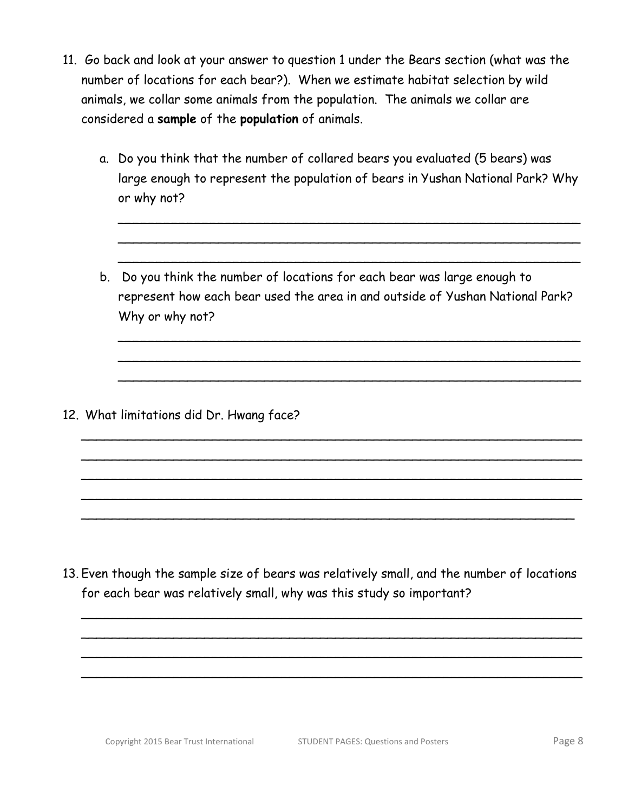- 11. Go back and look at your answer to question 1 under the Bears section (what was the number of locations for each bear?). When we estimate habitat selection by wild animals, we collar some animals from the population. The animals we collar are considered a **sample** of the **population** of animals.
	- a. Do you think that the number of collared bears you evaluated (5 bears) was large enough to represent the population of bears in Yushan National Park? Why or why not?

\_\_\_\_\_\_\_\_\_\_\_\_\_\_\_\_\_\_\_\_\_\_\_\_\_\_\_\_\_\_\_\_\_\_\_\_\_\_\_\_\_\_\_\_\_\_\_\_\_\_\_\_\_\_\_\_\_\_\_\_  $\sim$  . The contract of the contract of the contract of the contract of the contract of the contract of the contract of  $\sim$  . The contract of the contract of the contract of the contract of the contract of the contract of the contract of

b. Do you think the number of locations for each bear was large enough to represent how each bear used the area in and outside of Yushan National Park? Why or why not?

\_\_\_\_\_\_\_\_\_\_\_\_\_\_\_\_\_\_\_\_\_\_\_\_\_\_\_\_\_\_\_\_\_\_\_\_\_\_\_\_\_\_\_\_\_\_\_\_\_\_\_\_\_\_\_\_\_\_\_\_\_\_\_\_\_ \_\_\_\_\_\_\_\_\_\_\_\_\_\_\_\_\_\_\_\_\_\_\_\_\_\_\_\_\_\_\_\_\_\_\_\_\_\_\_\_\_\_\_\_\_\_\_\_\_\_\_\_\_\_\_\_\_\_\_\_\_\_\_\_\_ \_\_\_\_\_\_\_\_\_\_\_\_\_\_\_\_\_\_\_\_\_\_\_\_\_\_\_\_\_\_\_\_\_\_\_\_\_\_\_\_\_\_\_\_\_\_\_\_\_\_\_\_\_\_\_\_\_\_\_\_\_\_\_\_\_ \_\_\_\_\_\_\_\_\_\_\_\_\_\_\_\_\_\_\_\_\_\_\_\_\_\_\_\_\_\_\_\_\_\_\_\_\_\_\_\_\_\_\_\_\_\_\_\_\_\_\_\_\_\_\_\_\_\_\_\_\_\_\_\_\_ \_\_\_\_\_\_\_\_\_\_\_\_\_\_\_\_\_\_\_\_\_\_\_\_\_\_\_\_\_\_\_\_\_\_\_\_\_\_\_\_\_\_\_\_\_\_\_\_\_\_\_\_\_\_\_\_\_\_\_\_\_\_\_\_

 $\sim$  . The contract of the contract of the contract of the contract of the contract of the contract of the contract of \_\_\_\_\_\_\_\_\_\_\_\_\_\_\_\_\_\_\_\_\_\_\_\_\_\_\_\_\_\_\_\_\_\_\_\_\_\_\_\_\_\_\_\_\_\_\_\_\_\_\_\_\_\_\_\_\_\_\_\_  $\sim$  . The contract of the contract of the contract of the contract of the contract of the contract of the contract of

12. What limitations did Dr. Hwang face?

13. Even though the sample size of bears was relatively small, and the number of locations for each bear was relatively small, why was this study so important?

\_\_\_\_\_\_\_\_\_\_\_\_\_\_\_\_\_\_\_\_\_\_\_\_\_\_\_\_\_\_\_\_\_\_\_\_\_\_\_\_\_\_\_\_\_\_\_\_\_\_\_\_\_\_\_\_\_\_\_\_\_\_\_\_\_ \_\_\_\_\_\_\_\_\_\_\_\_\_\_\_\_\_\_\_\_\_\_\_\_\_\_\_\_\_\_\_\_\_\_\_\_\_\_\_\_\_\_\_\_\_\_\_\_\_\_\_\_\_\_\_\_\_\_\_\_\_\_\_\_\_ \_\_\_\_\_\_\_\_\_\_\_\_\_\_\_\_\_\_\_\_\_\_\_\_\_\_\_\_\_\_\_\_\_\_\_\_\_\_\_\_\_\_\_\_\_\_\_\_\_\_\_\_\_\_\_\_\_\_\_\_\_\_\_\_\_ \_\_\_\_\_\_\_\_\_\_\_\_\_\_\_\_\_\_\_\_\_\_\_\_\_\_\_\_\_\_\_\_\_\_\_\_\_\_\_\_\_\_\_\_\_\_\_\_\_\_\_\_\_\_\_\_\_\_\_\_\_\_\_\_\_